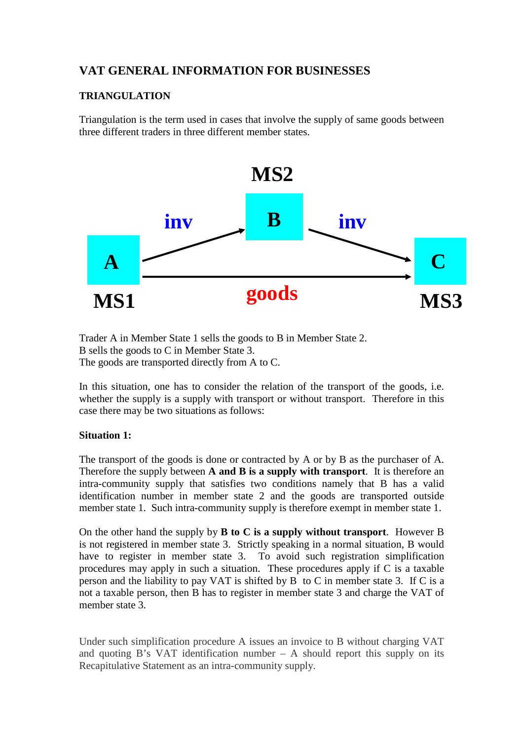# **VAT GENERAL INFORMATION FOR BUSINESSES**

## **TRIANGULATION**

Triangulation is the term used in cases that involve the supply of same goods between three different traders in three different member states.



Trader A in Member State 1 sells the goods to B in Member State 2. B sells the goods to C in Member State 3. The goods are transported directly from A to C.

In this situation, one has to consider the relation of the transport of the goods, i.e. whether the supply is a supply with transport or without transport. Therefore in this case there may be two situations as follows:

## **Situation 1:**

The transport of the goods is done or contracted by A or by B as the purchaser of A. Therefore the supply between **A and B is a supply with transport**. It is therefore an intra-community supply that satisfies two conditions namely that B has a valid identification number in member state 2 and the goods are transported outside member state 1. Such intra-community supply is therefore exempt in member state 1.

On the other hand the supply by **B to C is a supply without transport**. However B is not registered in member state 3. Strictly speaking in a normal situation, B would have to register in member state 3. To avoid such registration simplification procedures may apply in such a situation. These procedures apply if C is a taxable person and the liability to pay VAT is shifted by B to C in member state 3. If C is a not a taxable person, then B has to register in member state 3 and charge the VAT of member state 3.

Under such simplification procedure A issues an invoice to B without charging VAT and quoting B's VAT identification number  $-$  A should report this supply on its Recapitulative Statement as an intra-community supply.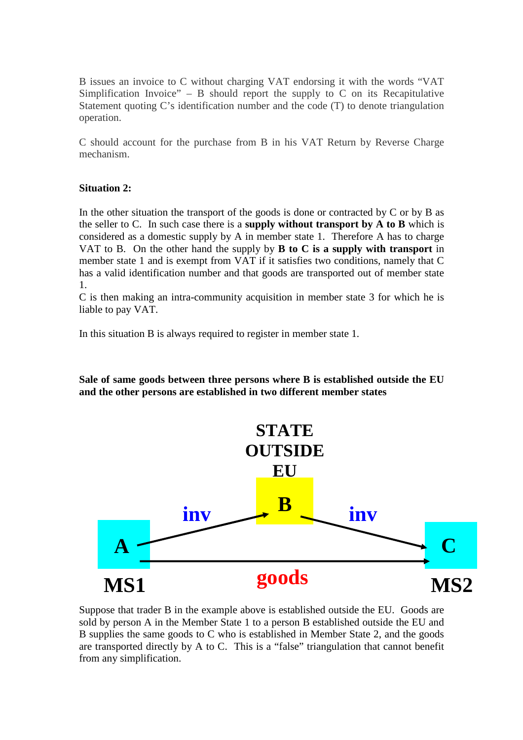B issues an invoice to C without charging VAT endorsing it with the words "VAT Simplification Invoice" – B should report the supply to C on its Recapitulative Statement quoting C's identification number and the code (T) to denote triangulation operation.

C should account for the purchase from B in his VAT Return by Reverse Charge mechanism.

#### **Situation 2:**

In the other situation the transport of the goods is done or contracted by  $C$  or by  $B$  as the seller to C. In such case there is a **supply without transport by A to B** which is considered as a domestic supply by A in member state 1. Therefore A has to charge VAT to B. On the other hand the supply by **B to C is a supply with transport** in member state 1 and is exempt from VAT if it satisfies two conditions, namely that C has a valid identification number and that goods are transported out of member state 1.

C is then making an intra-community acquisition in member state 3 for which he is liable to pay VAT.

In this situation B is always required to register in member state 1.

**Sale of same goods between three persons where B is established outside the EU and the other persons are established in two different member states** 



Suppose that trader B in the example above is established outside the EU. Goods are sold by person A in the Member State 1 to a person B established outside the EU and B supplies the same goods to C who is established in Member State 2, and the goods are transported directly by A to C. This is a "false" triangulation that cannot benefit from any simplification.